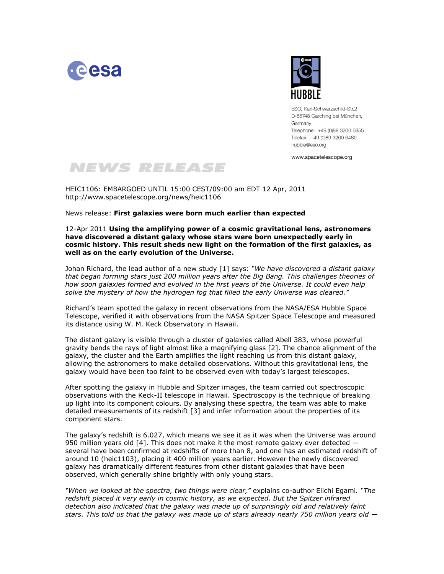



ESO, Karl-Schwarzschild-Str.2 D-85748 Garching bei München, Germany Telephone: +49 (0)89 3200 6855 Telefax: +49 (0)89 3200 6480 hubble@eso.org

www.spacetelescope.org

## NEWS RELEASE

HEIC1106: EMBARGOED UNTIL 15:00 CEST/09:00 am EDT 12 Apr, 2011 http://www.spacetelescope.org/news/heic1106

News release: **First galaxies were born much earlier than expected**

12-Apr 2011 **Using the amplifying power of a cosmic gravitational lens, astronomers have discovered a distant galaxy whose stars were born unexpectedly early in cosmic history. This result sheds new light on the formation of the first galaxies, as well as on the early evolution of the Universe.** 

Johan Richard, the lead author of a new study [1] says: *"We have discovered a distant galaxy that began forming stars just 200 million years after the Big Bang. This challenges theories of how soon galaxies formed and evolved in the first years of the Universe. It could even help solve the mystery of how the hydrogen fog that filled the early Universe was cleared."* 

Richard's team spotted the galaxy in recent observations from the NASA/ESA Hubble Space Telescope, verified it with observations from the NASA Spitzer Space Telescope and measured its distance using W. M. Keck Observatory in Hawaii.

The distant galaxy is visible through a cluster of galaxies called Abell 383, whose powerful gravity bends the rays of light almost like a magnifying glass [2]. The chance alignment of the galaxy, the cluster and the Earth amplifies the light reaching us from this distant galaxy, allowing the astronomers to make detailed observations. Without this gravitational lens, the galaxy would have been too faint to be observed even with today's largest telescopes.

After spotting the galaxy in Hubble and Spitzer images, the team carried out spectroscopic observations with the Keck-II telescope in Hawaii. Spectroscopy is the technique of breaking up light into its component colours. By analysing these spectra, the team was able to make detailed measurements of its redshift [3] and infer information about the properties of its component stars.

The galaxy's redshift is 6.027, which means we see it as it was when the Universe was around 950 million years old  $[4]$ . This does not make it the most remote galaxy ever detected  $$ several have been confirmed at redshifts of more than 8, and one has an estimated redshift of around 10 (heic1103), placing it 400 million years earlier. However the newly discovered galaxy has dramatically different features from other distant galaxies that have been observed, which generally shine brightly with only young stars.

*"When we looked at the spectra, two things were clear,"* explains co-author Eiichi Egami*. "The redshift placed it very early in cosmic history, as we expected. But the Spitzer infrared detection also indicated that the galaxy was made up of surprisingly old and relatively faint stars. This told us that the galaxy was made up of stars already nearly 750 million years old —*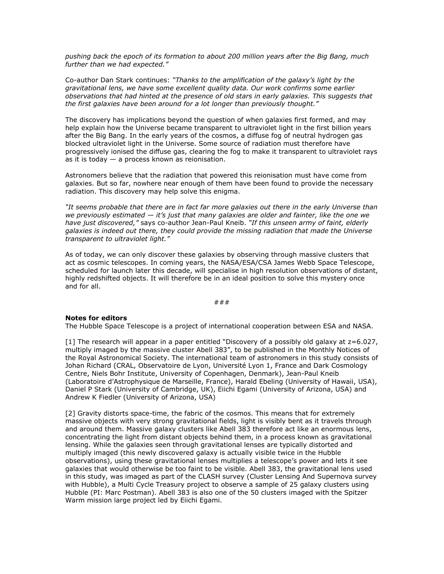*pushing back the epoch of its formation to about 200 million years after the Big Bang, much further than we had expected."* 

Co-author Dan Stark continues: *"Thanks to the amplification of the galaxy's light by the gravitational lens, we have some excellent quality data. Our work confirms some earlier observations that had hinted at the presence of old stars in early galaxies. This suggests that the first galaxies have been around for a lot longer than previously thought."*

The discovery has implications beyond the question of when galaxies first formed, and may help explain how the Universe became transparent to ultraviolet light in the first billion years after the Big Bang. In the early years of the cosmos, a diffuse fog of neutral hydrogen gas blocked ultraviolet light in the Universe. Some source of radiation must therefore have progressively ionised the diffuse gas, clearing the fog to make it transparent to ultraviolet rays as it is today  $-$  a process known as reionisation.

Astronomers believe that the radiation that powered this reionisation must have come from galaxies. But so far, nowhere near enough of them have been found to provide the necessary radiation. This discovery may help solve this enigma.

*"It seems probable that there are in fact far more galaxies out there in the early Universe than we previously estimated — it's just that many galaxies are older and fainter, like the one we have just discovered,"* says co-author Jean-Paul Kneib. *"If this unseen army of faint, elderly galaxies is indeed out there, they could provide the missing radiation that made the Universe transparent to ultraviolet light."*

As of today, we can only discover these galaxies by observing through massive clusters that act as cosmic telescopes. In coming years, the NASA/ESA/CSA James Webb Space Telescope, scheduled for launch later this decade, will specialise in high resolution observations of distant, highly redshifted objects. It will therefore be in an ideal position to solve this mystery once and for all.

###

## **Notes for editors**

The Hubble Space Telescope is a project of international cooperation between ESA and NASA.

 $\lceil 1 \rceil$  The research will appear in a paper entitled "Discovery of a possibly old galaxy at  $z=6.027$ , multiply imaged by the massive cluster Abell 383", to be published in the Monthly Notices of the Royal Astronomical Society. The international team of astronomers in this study consists of Johan Richard (CRAL, Observatoire de Lyon, Université Lyon 1, France and Dark Cosmology Centre, Niels Bohr Institute, University of Copenhagen, Denmark), Jean-Paul Kneib (Laboratoire d'Astrophysique de Marseille, France), Harald Ebeling (University of Hawaii, USA), Daniel P Stark (University of Cambridge, UK), Eiichi Egami (University of Arizona, USA) and Andrew K Fiedler (University of Arizona, USA)

[2] Gravity distorts space-time, the fabric of the cosmos. This means that for extremely massive objects with very strong gravitational fields, light is visibly bent as it travels through and around them. Massive galaxy clusters like Abell 383 therefore act like an enormous lens, concentrating the light from distant objects behind them, in a process known as gravitational lensing. While the galaxies seen through gravitational lenses are typically distorted and multiply imaged (this newly discovered galaxy is actually visible twice in the Hubble observations), using these gravitational lenses multiplies a telescope's power and lets it see galaxies that would otherwise be too faint to be visible. Abell 383, the gravitational lens used in this study, was imaged as part of the CLASH survey (Cluster Lensing And Supernova survey with Hubble), a Multi Cycle Treasury project to observe a sample of 25 galaxy clusters using Hubble (PI: Marc Postman). Abell 383 is also one of the 50 clusters imaged with the Spitzer Warm mission large project led by Eiichi Egami.